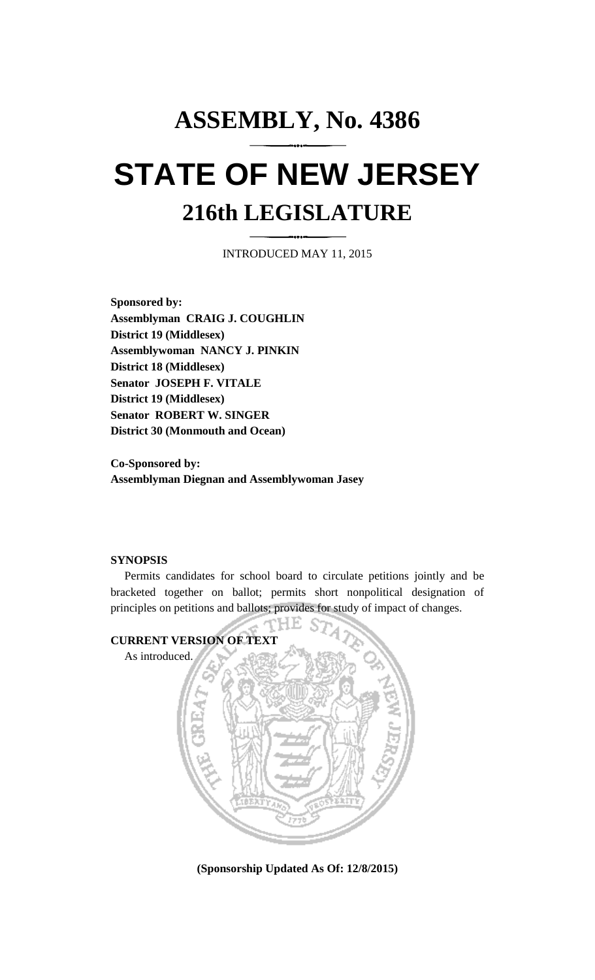# **ASSEMBLY, No. 4386 STATE OF NEW JERSEY 216th LEGISLATURE**

INTRODUCED MAY 11, 2015

**Sponsored by: Assemblyman CRAIG J. COUGHLIN District 19 (Middlesex) Assemblywoman NANCY J. PINKIN District 18 (Middlesex) Senator JOSEPH F. VITALE District 19 (Middlesex) Senator ROBERT W. SINGER District 30 (Monmouth and Ocean)**

**Co-Sponsored by: Assemblyman Diegnan and Assemblywoman Jasey**

### **SYNOPSIS**

Permits candidates for school board to circulate petitions jointly and be bracketed together on ballot; permits short nonpolitical designation of principles on petitions and ballots; provides for study of impact of changes.



**(Sponsorship Updated As Of: 12/8/2015)**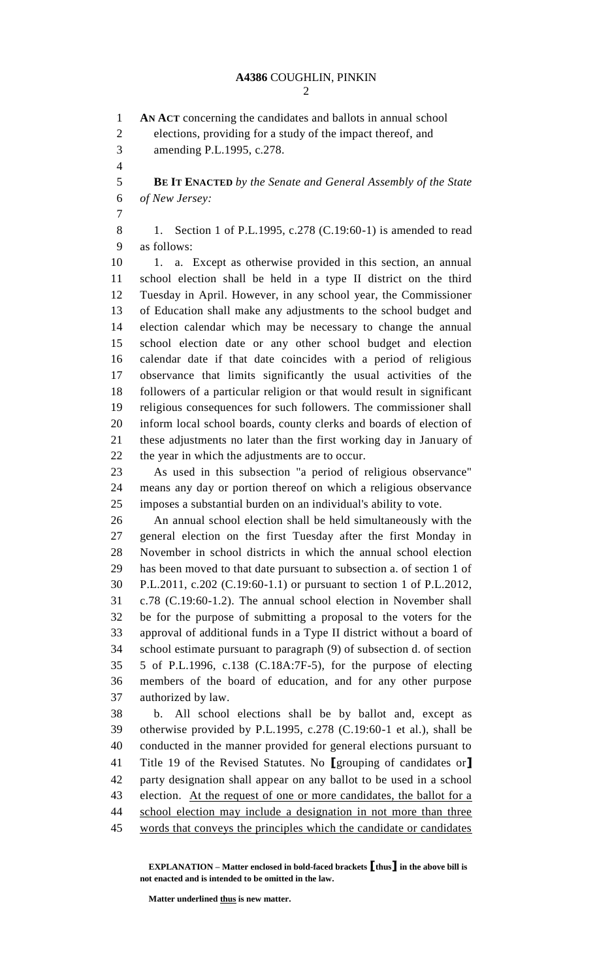**AN ACT** concerning the candidates and ballots in annual school elections, providing for a study of the impact thereof, and amending P.L.1995, c.278. **BE IT ENACTED** *by the Senate and General Assembly of the State of New Jersey:* 8 1. Section 1 of P.L.1995, c.278 (C.19:60-1) is amended to read as follows: 10 1. a. Except as otherwise provided in this section, an annual school election shall be held in a type II district on the third Tuesday in April. However, in any school year, the Commissioner of Education shall make any adjustments to the school budget and election calendar which may be necessary to change the annual school election date or any other school budget and election calendar date if that date coincides with a period of religious observance that limits significantly the usual activities of the followers of a particular religion or that would result in significant religious consequences for such followers. The commissioner shall inform local school boards, county clerks and boards of election of these adjustments no later than the first working day in January of the year in which the adjustments are to occur. As used in this subsection "a period of religious observance" means any day or portion thereof on which a religious observance imposes a substantial burden on an individual's ability to vote. An annual school election shall be held simultaneously with the general election on the first Tuesday after the first Monday in November in school districts in which the annual school election has been moved to that date pursuant to subsection a. of section 1 of P.L.2011, c.202 (C.19:60-1.1) or pursuant to section 1 of P.L.2012, c.78 (C.19:60-1.2). The annual school election in November shall be for the purpose of submitting a proposal to the voters for the approval of additional funds in a Type II district without a board of school estimate pursuant to paragraph (9) of subsection d. of section 5 of P.L.1996, c.138 (C.18A:7F-5), for the purpose of electing members of the board of education, and for any other purpose authorized by law. b. All school elections shall be by ballot and, except as otherwise provided by P.L.1995, c.278 (C.19:60-1 et al.), shall be conducted in the manner provided for general elections pursuant to Title 19 of the Revised Statutes. No **[**grouping of candidates or**]** party designation shall appear on any ballot to be used in a school 43 election. At the request of one or more candidates, the ballot for a 44 school election may include a designation in not more than three words that conveys the principles which the candidate or candidates

**EXPLANATION – Matter enclosed in bold-faced brackets [thus] in the above bill is not enacted and is intended to be omitted in the law.**

**Matter underlined thus is new matter.**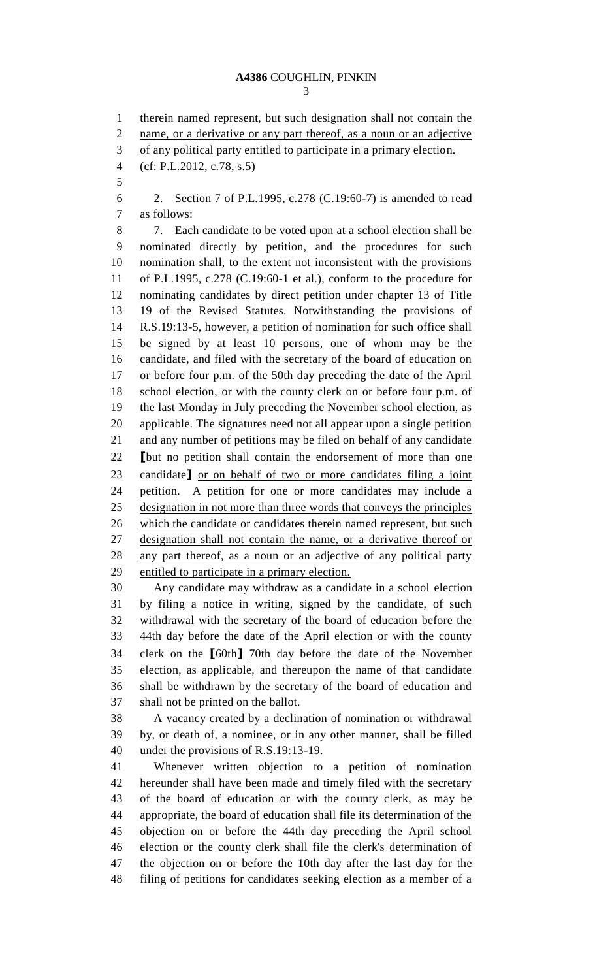## **A4386** COUGHLIN, PINKIN

1 therein named represent, but such designation shall not contain the 2 name, or a derivative or any part thereof, as a noun or an adjective of any political party entitled to participate in a primary election. (cf: P.L.2012, c.78, s.5) 2. Section 7 of P.L.1995, c.278 (C.19:60-7) is amended to read as follows: 7. Each candidate to be voted upon at a school election shall be nominated directly by petition, and the procedures for such nomination shall, to the extent not inconsistent with the provisions of P.L.1995, c.278 (C.19:60-1 et al.), conform to the procedure for nominating candidates by direct petition under chapter 13 of Title 19 of the Revised Statutes. Notwithstanding the provisions of R.S.19:13-5, however, a petition of nomination for such office shall be signed by at least 10 persons, one of whom may be the candidate, and filed with the secretary of the board of education on or before four p.m. of the 50th day preceding the date of the April school election, or with the county clerk on or before four p.m. of the last Monday in July preceding the November school election, as applicable. The signatures need not all appear upon a single petition and any number of petitions may be filed on behalf of any candidate **[**but no petition shall contain the endorsement of more than one candidate**]** or on behalf of two or more candidates filing a joint petition. A petition for one or more candidates may include a designation in not more than three words that conveys the principles which the candidate or candidates therein named represent, but such designation shall not contain the name, or a derivative thereof or any part thereof, as a noun or an adjective of any political party entitled to participate in a primary election. Any candidate may withdraw as a candidate in a school election by filing a notice in writing, signed by the candidate, of such withdrawal with the secretary of the board of education before the 44th day before the date of the April election or with the county clerk on the **[**60th**]** 70th day before the date of the November election, as applicable, and thereupon the name of that candidate shall be withdrawn by the secretary of the board of education and shall not be printed on the ballot. A vacancy created by a declination of nomination or withdrawal by, or death of, a nominee, or in any other manner, shall be filled under the provisions of R.S.19:13-19. Whenever written objection to a petition of nomination hereunder shall have been made and timely filed with the secretary of the board of education or with the county clerk, as may be appropriate, the board of education shall file its determination of the objection on or before the 44th day preceding the April school election or the county clerk shall file the clerk's determination of the objection on or before the 10th day after the last day for the filing of petitions for candidates seeking election as a member of a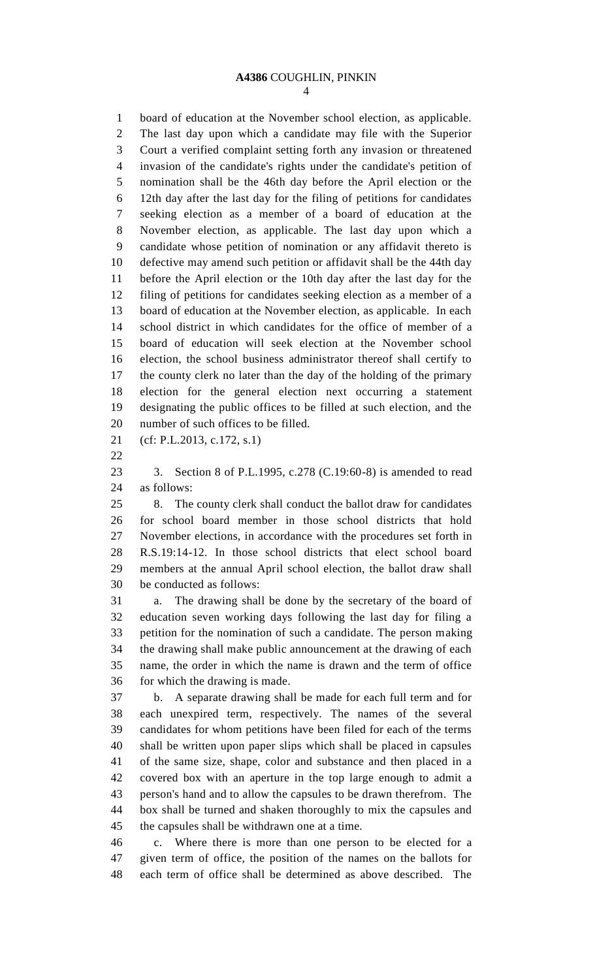# **A4386** COUGHLIN, PINKIN

 board of education at the November school election, as applicable. The last day upon which a candidate may file with the Superior Court a verified complaint setting forth any invasion or threatened invasion of the candidate's rights under the candidate's petition of nomination shall be the 46th day before the April election or the 12th day after the last day for the filing of petitions for candidates seeking election as a member of a board of education at the November election, as applicable. The last day upon which a candidate whose petition of nomination or any affidavit thereto is defective may amend such petition or affidavit shall be the 44th day before the April election or the 10th day after the last day for the filing of petitions for candidates seeking election as a member of a board of education at the November election, as applicable. In each school district in which candidates for the office of member of a board of education will seek election at the November school election, the school business administrator thereof shall certify to the county clerk no later than the day of the holding of the primary election for the general election next occurring a statement designating the public offices to be filled at such election, and the number of such offices to be filled. (cf: P.L.2013, c.172, s.1)

 3. Section 8 of P.L.1995, c.278 (C.19:60-8) is amended to read as follows:

 8. The county clerk shall conduct the ballot draw for candidates for school board member in those school districts that hold November elections, in accordance with the procedures set forth in R.S.19:14-12. In those school districts that elect school board members at the annual April school election, the ballot draw shall be conducted as follows:

 a. The drawing shall be done by the secretary of the board of education seven working days following the last day for filing a petition for the nomination of such a candidate. The person making the drawing shall make public announcement at the drawing of each name, the order in which the name is drawn and the term of office for which the drawing is made.

 b. A separate drawing shall be made for each full term and for each unexpired term, respectively. The names of the several candidates for whom petitions have been filed for each of the terms shall be written upon paper slips which shall be placed in capsules of the same size, shape, color and substance and then placed in a covered box with an aperture in the top large enough to admit a person's hand and to allow the capsules to be drawn therefrom. The box shall be turned and shaken thoroughly to mix the capsules and the capsules shall be withdrawn one at a time.

 c. Where there is more than one person to be elected for a given term of office, the position of the names on the ballots for each term of office shall be determined as above described. The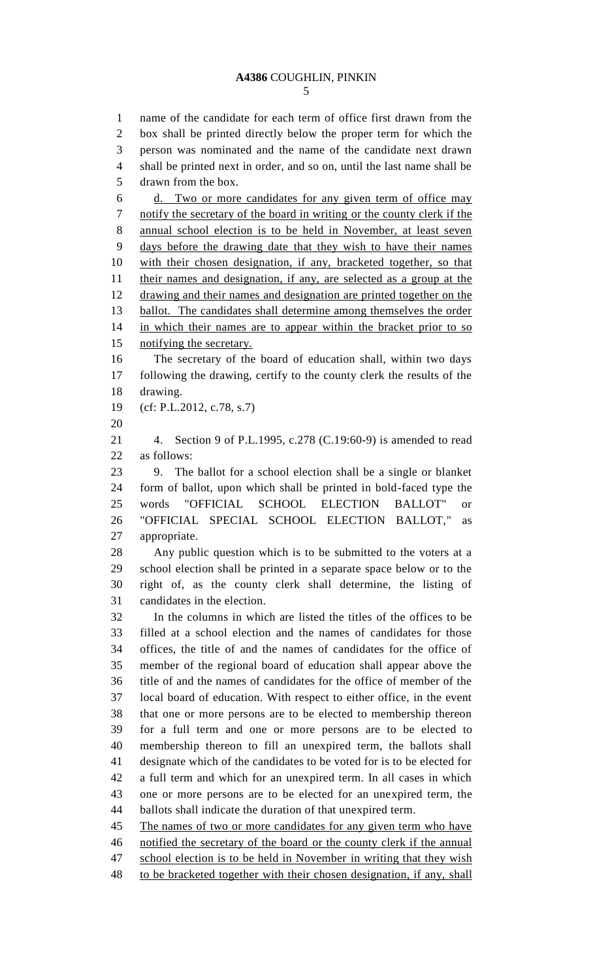name of the candidate for each term of office first drawn from the box shall be printed directly below the proper term for which the person was nominated and the name of the candidate next drawn shall be printed next in order, and so on, until the last name shall be drawn from the box. d. Two or more candidates for any given term of office may notify the secretary of the board in writing or the county clerk if the annual school election is to be held in November, at least seven days before the drawing date that they wish to have their names with their chosen designation, if any, bracketed together, so that their names and designation, if any, are selected as a group at the drawing and their names and designation are printed together on the ballot. The candidates shall determine among themselves the order in which their names are to appear within the bracket prior to so notifying the secretary. The secretary of the board of education shall, within two days following the drawing, certify to the county clerk the results of the drawing. (cf: P.L.2012, c.78, s.7) 4. Section 9 of P.L.1995, c.278 (C.19:60-9) is amended to read as follows: 9. The ballot for a school election shall be a single or blanket form of ballot, upon which shall be printed in bold-faced type the words "OFFICIAL SCHOOL ELECTION BALLOT" or "OFFICIAL SPECIAL SCHOOL ELECTION BALLOT," as appropriate. Any public question which is to be submitted to the voters at a school election shall be printed in a separate space below or to the right of, as the county clerk shall determine, the listing of candidates in the election. In the columns in which are listed the titles of the offices to be filled at a school election and the names of candidates for those offices, the title of and the names of candidates for the office of member of the regional board of education shall appear above the title of and the names of candidates for the office of member of the local board of education. With respect to either office, in the event that one or more persons are to be elected to membership thereon for a full term and one or more persons are to be elected to membership thereon to fill an unexpired term, the ballots shall designate which of the candidates to be voted for is to be elected for a full term and which for an unexpired term. In all cases in which one or more persons are to be elected for an unexpired term, the ballots shall indicate the duration of that unexpired term. The names of two or more candidates for any given term who have notified the secretary of the board or the county clerk if the annual school election is to be held in November in writing that they wish 48 to be bracketed together with their chosen designation, if any, shall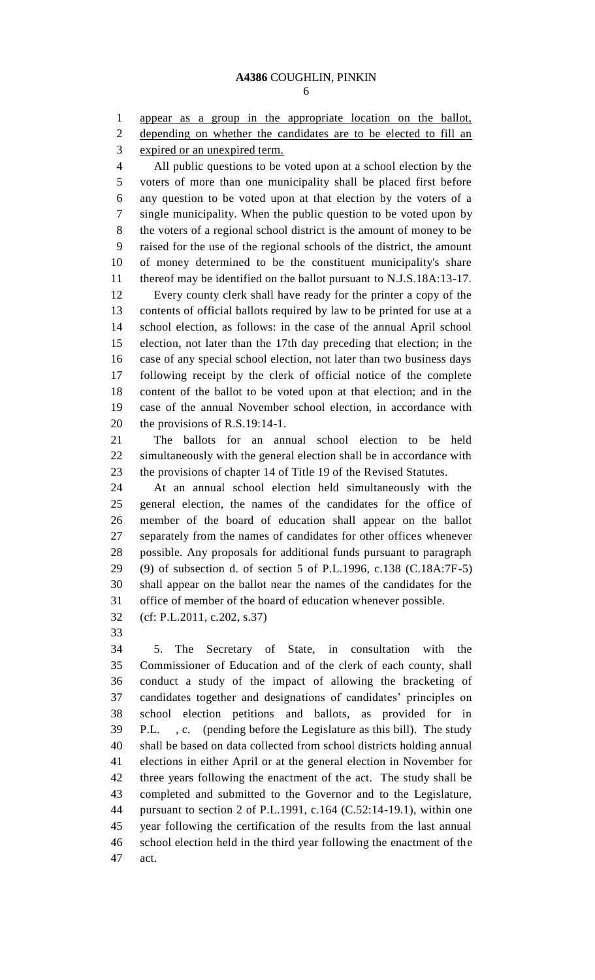appear as a group in the appropriate location on the ballot, depending on whether the candidates are to be elected to fill an expired or an unexpired term.

 All public questions to be voted upon at a school election by the voters of more than one municipality shall be placed first before any question to be voted upon at that election by the voters of a single municipality. When the public question to be voted upon by the voters of a regional school district is the amount of money to be raised for the use of the regional schools of the district, the amount of money determined to be the constituent municipality's share thereof may be identified on the ballot pursuant to N.J.S.18A:13-17. Every county clerk shall have ready for the printer a copy of the contents of official ballots required by law to be printed for use at a school election, as follows: in the case of the annual April school election, not later than the 17th day preceding that election; in the case of any special school election, not later than two business days following receipt by the clerk of official notice of the complete content of the ballot to be voted upon at that election; and in the case of the annual November school election, in accordance with the provisions of R.S.19:14-1.

 The ballots for an annual school election to be held simultaneously with the general election shall be in accordance with the provisions of chapter 14 of Title 19 of the Revised Statutes.

 At an annual school election held simultaneously with the general election, the names of the candidates for the office of member of the board of education shall appear on the ballot separately from the names of candidates for other offices whenever possible. Any proposals for additional funds pursuant to paragraph (9) of subsection d. of section 5 of P.L.1996, c.138 (C.18A:7F-5) shall appear on the ballot near the names of the candidates for the office of member of the board of education whenever possible.

- (cf: P.L.2011, c.202, s.37)
- 

 5. The Secretary of State, in consultation with the Commissioner of Education and of the clerk of each county, shall conduct a study of the impact of allowing the bracketing of candidates together and designations of candidates' principles on school election petitions and ballots, as provided for in P.L. , c. (pending before the Legislature as this bill). The study shall be based on data collected from school districts holding annual elections in either April or at the general election in November for three years following the enactment of the act. The study shall be completed and submitted to the Governor and to the Legislature, pursuant to section 2 of P.L.1991, c.164 (C.52:14-19.1), within one year following the certification of the results from the last annual school election held in the third year following the enactment of the act.